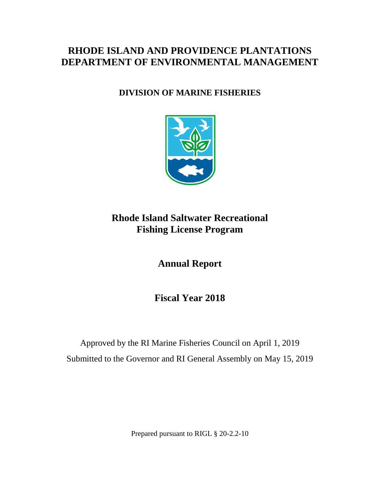## **RHODE ISLAND AND PROVIDENCE PLANTATIONS DEPARTMENT OF ENVIRONMENTAL MANAGEMENT**

## **DIVISION OF MARINE FISHERIES**



## **Rhode Island Saltwater Recreational Fishing License Program**

**Annual Report**

**Fiscal Year 2018**

Approved by the RI Marine Fisheries Council on April 1, 2019 Submitted to the Governor and RI General Assembly on May 15, 2019

Prepared pursuant to RIGL § 20-2.2-10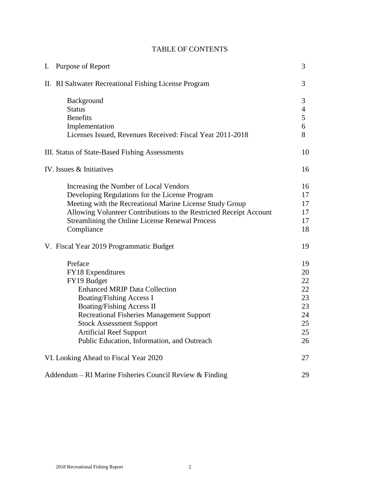| Purpose of Report<br>Ι.                        |                                                                                                                                                                                                                                                                                                                                    |                                                          |  |  |  |  |  |
|------------------------------------------------|------------------------------------------------------------------------------------------------------------------------------------------------------------------------------------------------------------------------------------------------------------------------------------------------------------------------------------|----------------------------------------------------------|--|--|--|--|--|
|                                                | II. RI Saltwater Recreational Fishing License Program                                                                                                                                                                                                                                                                              | 3                                                        |  |  |  |  |  |
|                                                | Background<br><b>Status</b><br><b>Benefits</b><br>Implementation<br>Licenses Issued, Revenues Received: Fiscal Year 2011-2018                                                                                                                                                                                                      | $\mathfrak{Z}$<br>$\overline{4}$<br>5<br>6<br>8          |  |  |  |  |  |
| III. Status of State-Based Fishing Assessments |                                                                                                                                                                                                                                                                                                                                    |                                                          |  |  |  |  |  |
| IV. Issues & Initiatives                       |                                                                                                                                                                                                                                                                                                                                    |                                                          |  |  |  |  |  |
|                                                | Increasing the Number of Local Vendors<br>Developing Regulations for the License Program<br>Meeting with the Recreational Marine License Study Group<br>Allowing Volunteer Contributions to the Restricted Receipt Account<br>Streamlining the Online License Renewal Process<br>Compliance                                        | 16<br>17<br>17<br>17<br>17<br>18                         |  |  |  |  |  |
|                                                | V. Fiscal Year 2019 Programmatic Budget                                                                                                                                                                                                                                                                                            | 19                                                       |  |  |  |  |  |
|                                                | Preface<br>FY18 Expenditures<br>FY19 Budget<br><b>Enhanced MRIP Data Collection</b><br><b>Boating/Fishing Access I</b><br><b>Boating/Fishing Access II</b><br><b>Recreational Fisheries Management Support</b><br><b>Stock Assessment Support</b><br><b>Artificial Reef Support</b><br>Public Education, Information, and Outreach | 19<br>20<br>22<br>22<br>23<br>23<br>24<br>25<br>25<br>26 |  |  |  |  |  |
|                                                | VI. Looking Ahead to Fiscal Year 2020                                                                                                                                                                                                                                                                                              | 27                                                       |  |  |  |  |  |
|                                                | Addendum – RI Marine Fisheries Council Review & Finding                                                                                                                                                                                                                                                                            | 29                                                       |  |  |  |  |  |

### TABLE OF CONTENTS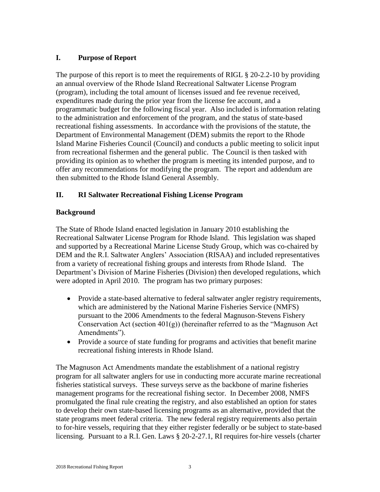#### **I. Purpose of Report**

The purpose of this report is to meet the requirements of RIGL § 20-2.2-10 by providing an annual overview of the Rhode Island Recreational Saltwater License Program (program), including the total amount of licenses issued and fee revenue received, expenditures made during the prior year from the license fee account, and a programmatic budget for the following fiscal year. Also included is information relating to the administration and enforcement of the program, and the status of state-based recreational fishing assessments. In accordance with the provisions of the statute, the Department of Environmental Management (DEM) submits the report to the Rhode Island Marine Fisheries Council (Council) and conducts a public meeting to solicit input from recreational fishermen and the general public. The Council is then tasked with providing its opinion as to whether the program is meeting its intended purpose, and to offer any recommendations for modifying the program. The report and addendum are then submitted to the Rhode Island General Assembly.

#### **II. RI Saltwater Recreational Fishing License Program**

#### **Background**

The State of Rhode Island enacted legislation in January 2010 establishing the Recreational Saltwater License Program for Rhode Island. This legislation was shaped and supported by a Recreational Marine License Study Group, which was co-chaired by DEM and the R.I. Saltwater Anglers' Association (RISAA) and included representatives from a variety of recreational fishing groups and interests from Rhode Island. The Department's Division of Marine Fisheries (Division) then developed regulations, which were adopted in April 2010. The program has two primary purposes:

- Provide a state-based alternative to federal saltwater angler registry requirements, which are administered by the National Marine Fisheries Service (NMFS) pursuant to the 2006 Amendments to the federal Magnuson-Stevens Fishery Conservation Act (section  $401(g)$ ) (hereinafter referred to as the "Magnuson Act Amendments").
- Provide a source of state funding for programs and activities that benefit marine recreational fishing interests in Rhode Island.

The Magnuson Act Amendments mandate the establishment of a national registry program for all saltwater anglers for use in conducting more accurate marine recreational fisheries statistical surveys. These surveys serve as the backbone of marine fisheries management programs for the recreational fishing sector. In December 2008, NMFS promulgated the final rule creating the registry, and also established an option for states to develop their own state-based licensing programs as an alternative, provided that the state programs meet federal criteria. The new federal registry requirements also pertain to for-hire vessels, requiring that they either register federally or be subject to state-based licensing. Pursuant to a R.I. Gen. Laws § 20-2-27.1, RI requires for-hire vessels (charter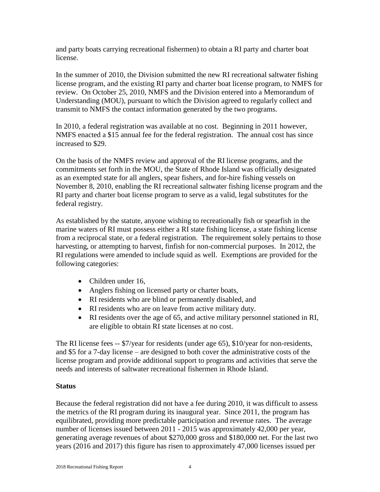and party boats carrying recreational fishermen) to obtain a RI party and charter boat license.

In the summer of 2010, the Division submitted the new RI recreational saltwater fishing license program, and the existing RI party and charter boat license program, to NMFS for review. On October 25, 2010, NMFS and the Division entered into a Memorandum of Understanding (MOU), pursuant to which the Division agreed to regularly collect and transmit to NMFS the contact information generated by the two programs.

In 2010, a federal registration was available at no cost. Beginning in 2011 however, NMFS enacted a \$15 annual fee for the federal registration. The annual cost has since increased to \$29.

On the basis of the NMFS review and approval of the RI license programs, and the commitments set forth in the MOU, the State of Rhode Island was officially designated as an exempted state for all anglers, spear fishers, and for-hire fishing vessels on November 8, 2010, enabling the RI recreational saltwater fishing license program and the RI party and charter boat license program to serve as a valid, legal substitutes for the federal registry.

As established by the statute, anyone wishing to recreationally fish or spearfish in the marine waters of RI must possess either a RI state fishing license, a state fishing license from a reciprocal state, or a federal registration. The requirement solely pertains to those harvesting, or attempting to harvest, finfish for non-commercial purposes. In 2012, the RI regulations were amended to include squid as well. Exemptions are provided for the following categories:

- Children under 16,
- Anglers fishing on licensed party or charter boats,
- RI residents who are blind or permanently disabled, and
- RI residents who are on leave from active military duty.
- RI residents over the age of 65, and active military personnel stationed in RI, are eligible to obtain RI state licenses at no cost.

The RI license fees -- \$7/year for residents (under age 65), \$10/year for non-residents, and \$5 for a 7-day license – are designed to both cover the administrative costs of the license program and provide additional support to programs and activities that serve the needs and interests of saltwater recreational fishermen in Rhode Island.

#### **Status**

Because the federal registration did not have a fee during 2010, it was difficult to assess the metrics of the RI program during its inaugural year. Since 2011, the program has equilibrated, providing more predictable participation and revenue rates. The average number of licenses issued between 2011 - 2015 was approximately 42,000 per year, generating average revenues of about \$270,000 gross and \$180,000 net. For the last two years (2016 and 2017) this figure has risen to approximately 47,000 licenses issued per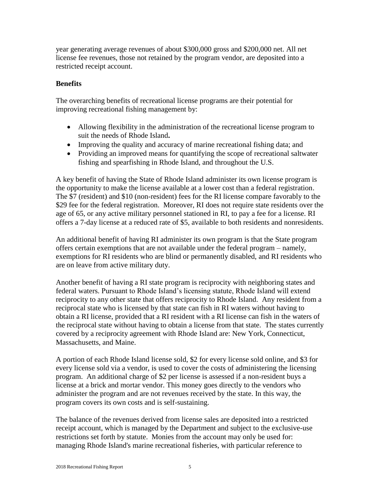year generating average revenues of about \$300,000 gross and \$200,000 net. All net license fee revenues, those not retained by the program vendor, are deposited into a restricted receipt account.

#### **Benefits**

The overarching benefits of recreational license programs are their potential for improving recreational fishing management by:

- Allowing flexibility in the administration of the recreational license program to suit the needs of Rhode Island**.**
- Improving the quality and accuracy of marine recreational fishing data; and
- Providing an improved means for quantifying the scope of recreational saltwater fishing and spearfishing in Rhode Island, and throughout the U.S.

A key benefit of having the State of Rhode Island administer its own license program is the opportunity to make the license available at a lower cost than a federal registration. The \$7 (resident) and \$10 (non-resident) fees for the RI license compare favorably to the \$29 fee for the federal registration. Moreover, RI does not require state residents over the age of 65, or any active military personnel stationed in RI, to pay a fee for a license. RI offers a 7-day license at a reduced rate of \$5, available to both residents and nonresidents.

An additional benefit of having RI administer its own program is that the State program offers certain exemptions that are not available under the federal program – namely, exemptions for RI residents who are blind or permanently disabled, and RI residents who are on leave from active military duty.

Another benefit of having a RI state program is reciprocity with neighboring states and federal waters. Pursuant to Rhode Island's licensing statute, Rhode Island will extend reciprocity to any other state that offers reciprocity to Rhode Island. Any resident from a reciprocal state who is licensed by that state can fish in RI waters without having to obtain a RI license, provided that a RI resident with a RI license can fish in the waters of the reciprocal state without having to obtain a license from that state. The states currently covered by a reciprocity agreement with Rhode Island are: New York, Connecticut, Massachusetts, and Maine.

A portion of each Rhode Island license sold, \$2 for every license sold online, and \$3 for every license sold via a vendor, is used to cover the costs of administering the licensing program. An additional charge of \$2 per license is assessed if a non-resident buys a license at a brick and mortar vendor. This money goes directly to the vendors who administer the program and are not revenues received by the state. In this way, the program covers its own costs and is self-sustaining.

The balance of the revenues derived from license sales are deposited into a restricted receipt account, which is managed by the Department and subject to the exclusive-use restrictions set forth by statute. Monies from the account may only be used for: managing Rhode Island's marine recreational fisheries, with particular reference to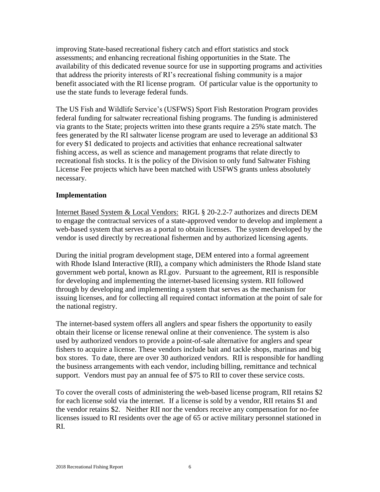improving State-based recreational fishery catch and effort statistics and stock assessments; and enhancing recreational fishing opportunities in the State. The availability of this dedicated revenue source for use in supporting programs and activities that address the priority interests of RI's recreational fishing community is a major benefit associated with the RI license program. Of particular value is the opportunity to use the state funds to leverage federal funds.

The US Fish and Wildlife Service's (USFWS) Sport Fish Restoration Program provides federal funding for saltwater recreational fishing programs. The funding is administered via grants to the State; projects written into these grants require a 25% state match. The fees generated by the RI saltwater license program are used to leverage an additional \$3 for every \$1 dedicated to projects and activities that enhance recreational saltwater fishing access, as well as science and management programs that relate directly to recreational fish stocks. It is the policy of the Division to only fund Saltwater Fishing License Fee projects which have been matched with USFWS grants unless absolutely necessary.

#### **Implementation**

Internet Based System & Local Vendors: RIGL § 20-2.2-7 authorizes and directs DEM to engage the contractual services of a state-approved vendor to develop and implement a web-based system that serves as a portal to obtain licenses. The system developed by the vendor is used directly by recreational fishermen and by authorized licensing agents.

During the initial program development stage, DEM entered into a formal agreement with Rhode Island Interactive (RII), a company which administers the Rhode Island state government web portal, known as RI.gov. Pursuant to the agreement, RII is responsible for developing and implementing the internet-based licensing system. RII followed through by developing and implementing a system that serves as the mechanism for issuing licenses, and for collecting all required contact information at the point of sale for the national registry.

The internet-based system offers all anglers and spear fishers the opportunity to easily obtain their license or license renewal online at their convenience. The system is also used by authorized vendors to provide a point-of-sale alternative for anglers and spear fishers to acquire a license. These vendors include bait and tackle shops, marinas and big box stores. To date, there are over 30 authorized vendors. RII is responsible for handling the business arrangements with each vendor, including billing, remittance and technical support. Vendors must pay an annual fee of \$75 to RII to cover these service costs.

To cover the overall costs of administering the web-based license program, RII retains \$2 for each license sold via the internet. If a license is sold by a vendor, RII retains \$1 and the vendor retains \$2. Neither RII nor the vendors receive any compensation for no-fee licenses issued to RI residents over the age of 65 or active military personnel stationed in RI.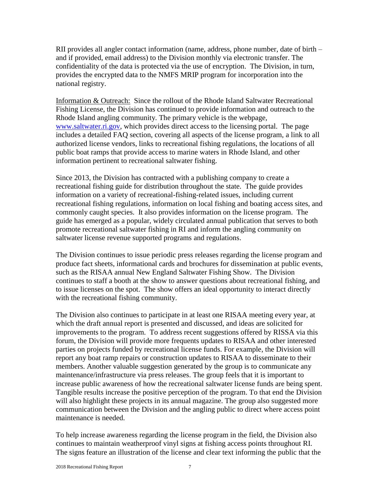RII provides all angler contact information (name, address, phone number, date of birth – and if provided, email address) to the Division monthly via electronic transfer. The confidentiality of the data is protected via the use of encryption. The Division, in turn, provides the encrypted data to the NMFS MRIP program for incorporation into the national registry.

Information & Outreach: Since the rollout of the Rhode Island Saltwater Recreational Fishing License, the Division has continued to provide information and outreach to the Rhode Island angling community. The primary vehicle is the webpage, [www.saltwater.ri.gov,](http://www.saltwater.ri.gov/) which provides direct access to the licensing portal. The page includes a detailed FAQ section, covering all aspects of the license program, a link to all authorized license vendors, links to recreational fishing regulations, the locations of all public boat ramps that provide access to marine waters in Rhode Island, and other information pertinent to recreational saltwater fishing.

Since 2013, the Division has contracted with a publishing company to create a recreational fishing guide for distribution throughout the state. The guide provides information on a variety of recreational-fishing-related issues, including current recreational fishing regulations, information on local fishing and boating access sites, and commonly caught species. It also provides information on the license program. The guide has emerged as a popular, widely circulated annual publication that serves to both promote recreational saltwater fishing in RI and inform the angling community on saltwater license revenue supported programs and regulations.

The Division continues to issue periodic press releases regarding the license program and produce fact sheets, informational cards and brochures for dissemination at public events, such as the RISAA annual New England Saltwater Fishing Show. The Division continues to staff a booth at the show to answer questions about recreational fishing, and to issue licenses on the spot. The show offers an ideal opportunity to interact directly with the recreational fishing community.

The Division also continues to participate in at least one RISAA meeting every year, at which the draft annual report is presented and discussed, and ideas are solicited for improvements to the program. To address recent suggestions offered by RISSA via this forum, the Division will provide more frequents updates to RISAA and other interested parties on projects funded by recreational license funds. For example, the Division will report any boat ramp repairs or construction updates to RISAA to disseminate to their members. Another valuable suggestion generated by the group is to communicate any maintenance/infrastructure via press releases. The group feels that it is important to increase public awareness of how the recreational saltwater license funds are being spent. Tangible results increase the positive perception of the program. To that end the Division will also highlight these projects in its annual magazine. The group also suggested more communication between the Division and the angling public to direct where access point maintenance is needed.

To help increase awareness regarding the license program in the field, the Division also continues to maintain weatherproof vinyl signs at fishing access points throughout RI. The signs feature an illustration of the license and clear text informing the public that the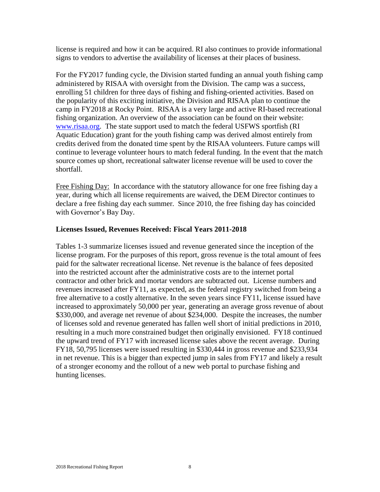license is required and how it can be acquired. RI also continues to provide informational signs to vendors to advertise the availability of licenses at their places of business.

For the FY2017 funding cycle, the Division started funding an annual youth fishing camp administered by RISAA with oversight from the Division. The camp was a success, enrolling 51 children for three days of fishing and fishing-oriented activities. Based on the popularity of this exciting initiative, the Division and RISAA plan to continue the camp in FY2018 at Rocky Point. RISAA is a very large and active RI-based recreational fishing organization. An overview of the association can be found on their website: [www.risaa.org.](http://www.risaa.org/) The state support used to match the federal USFWS sportfish (RI Aquatic Education) grant for the youth fishing camp was derived almost entirely from credits derived from the donated time spent by the RISAA volunteers. Future camps will continue to leverage volunteer hours to match federal funding. In the event that the match source comes up short, recreational saltwater license revenue will be used to cover the shortfall.

Free Fishing Day: In accordance with the statutory allowance for one free fishing day a year, during which all license requirements are waived, the DEM Director continues to declare a free fishing day each summer. Since 2010, the free fishing day has coincided with Governor's Bay Day.

#### **Licenses Issued, Revenues Received: Fiscal Years 2011-2018**

Tables 1-3 summarize licenses issued and revenue generated since the inception of the license program. For the purposes of this report, gross revenue is the total amount of fees paid for the saltwater recreational license. Net revenue is the balance of fees deposited into the restricted account after the administrative costs are to the internet portal contractor and other brick and mortar vendors are subtracted out. License numbers and revenues increased after FY11, as expected, as the federal registry switched from being a free alternative to a costly alternative. In the seven years since FY11, license issued have increased to approximately 50,000 per year, generating an average gross revenue of about \$330,000, and average net revenue of about \$234,000. Despite the increases, the number of licenses sold and revenue generated has fallen well short of initial predictions in 2010, resulting in a much more constrained budget then originally envisioned. FY18 continued the upward trend of FY17 with increased license sales above the recent average. During FY18, 50,795 licenses were issued resulting in \$330,444 in gross revenue and \$233,934 in net revenue. This is a bigger than expected jump in sales from FY17 and likely a result of a stronger economy and the rollout of a new web portal to purchase fishing and hunting licenses.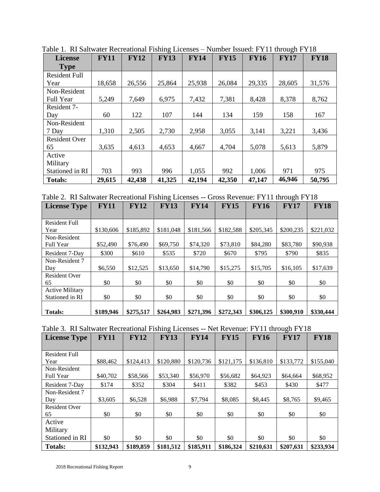| <b>License</b>       | <b>FY11</b> | <b>FY12</b> | <b>FY13</b> | <b>FY14</b> | <b>FY15</b> | <b>FY16</b> | <b>FY17</b> | <b>FY18</b> |
|----------------------|-------------|-------------|-------------|-------------|-------------|-------------|-------------|-------------|
| <b>Type</b>          |             |             |             |             |             |             |             |             |
| <b>Resident Full</b> |             |             |             |             |             |             |             |             |
| Year                 | 18,658      | 26,556      | 25,864      | 25,938      | 26,084      | 29,335      | 28,605      | 31,576      |
| Non-Resident         |             |             |             |             |             |             |             |             |
| Full Year            | 5,249       | 7,649       | 6,975       | 7,432       | 7,381       | 8,428       | 8,378       | 8,762       |
| Resident 7-          |             |             |             |             |             |             |             |             |
| Day                  | 60          | 122         | 107         | 144         | 134         | 159         | 158         | 167         |
| Non-Resident         |             |             |             |             |             |             |             |             |
| 7 Day                | 1,310       | 2,505       | 2,730       | 2,958       | 3,055       | 3,141       | 3,221       | 3,436       |
| <b>Resident Over</b> |             |             |             |             |             |             |             |             |
| 65                   | 3,635       | 4,613       | 4,653       | 4,667       | 4,704       | 5,078       | 5,613       | 5,879       |
| Active               |             |             |             |             |             |             |             |             |
| Military             |             |             |             |             |             |             |             |             |
| Stationed in RI      | 703         | 993         | 996         | 1,055       | 992         | 1,006       | 971         | 975         |
| <b>Totals:</b>       | 29,615      | 42,438      | 41,325      | 42,194      | 42,350      | 47,147      | 46,946      | 50,795      |

Table 1. RI Saltwater Recreational Fishing Licenses – Number Issued: FY11 through FY18

Table 2. RI Saltwater Recreational Fishing Licenses -- Gross Revenue: FY11 through FY18

| <b>License Type</b>    | <b>FY11</b> | <b>FY12</b> | ັ<br><b>FY13</b> | <b>FY14</b> | <b>FY15</b> | <b>FY16</b> | <b>FY17</b> | <b>FY18</b> |
|------------------------|-------------|-------------|------------------|-------------|-------------|-------------|-------------|-------------|
|                        |             |             |                  |             |             |             |             |             |
| <b>Resident Full</b>   |             |             |                  |             |             |             |             |             |
| Year                   | \$130,606   | \$185,892   | \$181,048        | \$181,566   | \$182,588   | \$205,345   | \$200,235   | \$221,032   |
| Non-Resident           |             |             |                  |             |             |             |             |             |
| Full Year              | \$52,490    | \$76,490    | \$69,750         | \$74,320    | \$73,810    | \$84,280    | \$83,780    | \$90,938    |
| Resident 7-Day         | \$300       | \$610       | \$535            | \$720       | \$670       | \$795       | \$790       | \$835       |
| Non-Resident 7         |             |             |                  |             |             |             |             |             |
| Day                    | \$6,550     | \$12,525    | \$13,650         | \$14,790    | \$15,275    | \$15,705    | \$16,105    | \$17,639    |
| <b>Resident Over</b>   |             |             |                  |             |             |             |             |             |
| 65                     | \$0         | \$0         | \$0              | \$0         | \$0         | \$0         | \$0         | \$0         |
| <b>Active Military</b> |             |             |                  |             |             |             |             |             |
| Stationed in RI        | \$0         | \$0         | \$0              | \$0         | \$0         | \$0         | \$0         | \$0         |
|                        |             |             |                  |             |             |             |             |             |
| <b>Totals:</b>         | \$189,946   | \$275,517   | \$264,983        | \$271,396   | \$272,343   | \$306,125   | \$300,910   | \$330,444   |

|  |  | Table 3. RI Saltwater Recreational Fishing Licenses -- Net Revenue: FY11 through FY18 |  |  |
|--|--|---------------------------------------------------------------------------------------|--|--|
|  |  |                                                                                       |  |  |

| <b>License Type</b>  | <b>FY11</b> | <b>FY12</b> | <b>FY13</b> | <b>FY14</b> | <b>FY15</b> | <b>FY16</b> | <b>FY17</b> | <b>FY18</b> |
|----------------------|-------------|-------------|-------------|-------------|-------------|-------------|-------------|-------------|
|                      |             |             |             |             |             |             |             |             |
| <b>Resident Full</b> |             |             |             |             |             |             |             |             |
| Year                 | \$88,462    | \$124,413   | \$120,880   | \$120,736   | \$121,175   | \$136,810   | \$133,772   | \$155,040   |
| Non-Resident         |             |             |             |             |             |             |             |             |
| Full Year            | \$40,702    | \$58,566    | \$53,340    | \$56,970    | \$56,682    | \$64,923    | \$64,664    | \$68,952    |
| Resident 7-Day       | \$174       | \$352       | \$304       | \$411       | \$382       | \$453       | \$430       | \$477       |
| Non-Resident 7       |             |             |             |             |             |             |             |             |
| Day                  | \$3,605     | \$6,528     | \$6,988     | \$7,794     | \$8,085     | \$8,445     | \$8,765     | \$9,465     |
| <b>Resident Over</b> |             |             |             |             |             |             |             |             |
| 65                   | \$0         | \$0         | \$0         | \$0         | \$0         | \$0         | \$0         | \$0         |
| Active               |             |             |             |             |             |             |             |             |
| Military             |             |             |             |             |             |             |             |             |
| Stationed in RI      | \$0         | \$0         | \$0         | \$0         | \$0         | \$0         | \$0         | \$0         |
| <b>Totals:</b>       | \$132,943   | \$189,859   | \$181,512   | \$185,911   | \$186,324   | \$210,631   | \$207,631   | \$233,934   |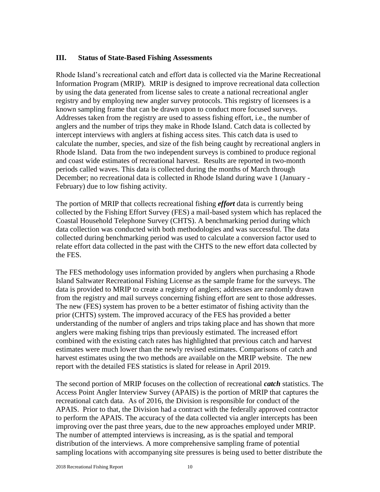#### **III. Status of State-Based Fishing Assessments**

Rhode Island's recreational catch and effort data is collected via the Marine Recreational Information Program (MRIP). MRIP is designed to improve recreational data collection by using the data generated from license sales to create a national recreational angler registry and by employing new angler survey protocols. This registry of licensees is a known sampling frame that can be drawn upon to conduct more focused surveys. Addresses taken from the registry are used to assess fishing effort, i.e., the number of anglers and the number of trips they make in Rhode Island. Catch data is collected by intercept interviews with anglers at fishing access sites. This catch data is used to calculate the number, species, and size of the fish being caught by recreational anglers in Rhode Island. Data from the two independent surveys is combined to produce regional and coast wide estimates of recreational harvest. Results are reported in two-month periods called waves. This data is collected during the months of March through December; no recreational data is collected in Rhode Island during wave 1 (January - February) due to low fishing activity.

The portion of MRIP that collects recreational fishing *effort* data is currently being collected by the Fishing Effort Survey (FES) a mail-based system which has replaced the Coastal Household Telephone Survey (CHTS). A benchmarking period during which data collection was conducted with both methodologies and was successful. The data collected during benchmarking period was used to calculate a conversion factor used to relate effort data collected in the past with the CHTS to the new effort data collected by the FES.

The FES methodology uses information provided by anglers when purchasing a Rhode Island Saltwater Recreational Fishing License as the sample frame for the surveys. The data is provided to MRIP to create a registry of anglers; addresses are randomly drawn from the registry and mail surveys concerning fishing effort are sent to those addresses. The new (FES) system has proven to be a better estimator of fishing activity than the prior (CHTS) system. The improved accuracy of the FES has provided a better understanding of the number of anglers and trips taking place and has shown that more anglers were making fishing trips than previously estimated. The increased effort combined with the existing catch rates has highlighted that previous catch and harvest estimates were much lower than the newly revised estimates. Comparisons of catch and harvest estimates using the two methods are available on the MRIP website. The new report with the detailed FES statistics is slated for release in April 2019.

The second portion of MRIP focuses on the collection of recreational *catch* statistics. The Access Point Angler Interview Survey (APAIS) is the portion of MRIP that captures the recreational catch data. As of 2016, the Division is responsible for conduct of the APAIS. Prior to that, the Division had a contract with the federally approved contractor to perform the APAIS. The accuracy of the data collected via angler intercepts has been improving over the past three years, due to the new approaches employed under MRIP. The number of attempted interviews is increasing, as is the spatial and temporal distribution of the interviews. A more comprehensive sampling frame of potential sampling locations with accompanying site pressures is being used to better distribute the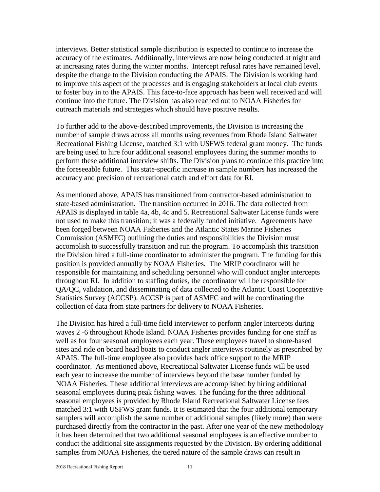interviews. Better statistical sample distribution is expected to continue to increase the accuracy of the estimates. Additionally, interviews are now being conducted at night and at increasing rates during the winter months. Intercept refusal rates have remained level, despite the change to the Division conducting the APAIS. The Division is working hard to improve this aspect of the processes and is engaging stakeholders at local club events to foster buy in to the APAIS. This face-to-face approach has been well received and will continue into the future. The Division has also reached out to NOAA Fisheries for outreach materials and strategies which should have positive results.

To further add to the above-described improvements, the Division is increasing the number of sample draws across all months using revenues from Rhode Island Saltwater Recreational Fishing License, matched 3:1 with USFWS federal grant money. The funds are being used to hire four additional seasonal employees during the summer months to perform these additional interview shifts. The Division plans to continue this practice into the foreseeable future. This state-specific increase in sample numbers has increased the accuracy and precision of recreational catch and effort data for RI.

As mentioned above, APAIS has transitioned from contractor-based administration to state-based administration. The transition occurred in 2016. The data collected from APAIS is displayed in table 4a, 4b, 4c and 5. Recreational Saltwater License funds were not used to make this transition; it was a federally funded initiative. Agreements have been forged between NOAA Fisheries and the Atlantic States Marine Fisheries Commission (ASMFC) outlining the duties and responsibilities the Division must accomplish to successfully transition and run the program. To accomplish this transition the Division hired a full-time coordinator to administer the program. The funding for this position is provided annually by NOAA Fisheries. The MRIP coordinator will be responsible for maintaining and scheduling personnel who will conduct angler intercepts throughout RI. In addition to staffing duties, the coordinator will be responsible for QA/QC, validation, and disseminating of data collected to the Atlantic Coast Cooperative Statistics Survey (ACCSP). ACCSP is part of ASMFC and will be coordinating the collection of data from state partners for delivery to NOAA Fisheries.

The Division has hired a full-time field interviewer to perform angler intercepts during waves 2 -6 throughout Rhode Island. NOAA Fisheries provides funding for one staff as well as for four seasonal employees each year. These employees travel to shore-based sites and ride on board head boats to conduct angler interviews routinely as prescribed by APAIS. The full-time employee also provides back office support to the MRIP coordinator. As mentioned above, Recreational Saltwater License funds will be used each year to increase the number of interviews beyond the base number funded by NOAA Fisheries. These additional interviews are accomplished by hiring additional seasonal employees during peak fishing waves. The funding for the three additional seasonal employees is provided by Rhode Island Recreational Saltwater License fees matched 3:1 with USFWS grant funds. It is estimated that the four additional temporary samplers will accomplish the same number of additional samples (likely more) than were purchased directly from the contractor in the past. After one year of the new methodology it has been determined that two additional seasonal employees is an effective number to conduct the additional site assignments requested by the Division. By ordering additional samples from NOAA Fisheries, the tiered nature of the sample draws can result in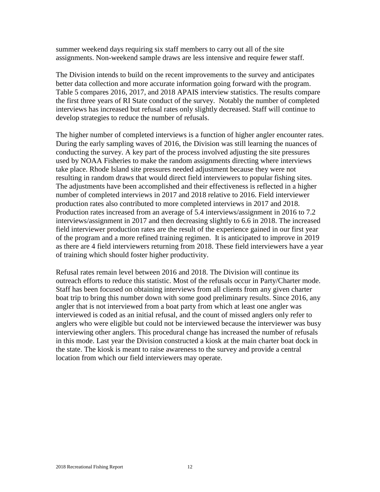summer weekend days requiring six staff members to carry out all of the site assignments. Non-weekend sample draws are less intensive and require fewer staff.

The Division intends to build on the recent improvements to the survey and anticipates better data collection and more accurate information going forward with the program. Table 5 compares 2016, 2017, and 2018 APAIS interview statistics. The results compare the first three years of RI State conduct of the survey. Notably the number of completed interviews has increased but refusal rates only slightly decreased. Staff will continue to develop strategies to reduce the number of refusals.

The higher number of completed interviews is a function of higher angler encounter rates. During the early sampling waves of 2016, the Division was still learning the nuances of conducting the survey. A key part of the process involved adjusting the site pressures used by NOAA Fisheries to make the random assignments directing where interviews take place. Rhode Island site pressures needed adjustment because they were not resulting in random draws that would direct field interviewers to popular fishing sites. The adjustments have been accomplished and their effectiveness is reflected in a higher number of completed interviews in 2017 and 2018 relative to 2016. Field interviewer production rates also contributed to more completed interviews in 2017 and 2018. Production rates increased from an average of 5.4 interviews/assignment in 2016 to 7.2 interviews/assignment in 2017 and then decreasing slightly to 6.6 in 2018. The increased field interviewer production rates are the result of the experience gained in our first year of the program and a more refined training regimen. It is anticipated to improve in 2019 as there are 4 field interviewers returning from 2018. These field interviewers have a year of training which should foster higher productivity.

Refusal rates remain level between 2016 and 2018. The Division will continue its outreach efforts to reduce this statistic. Most of the refusals occur in Party/Charter mode. Staff has been focused on obtaining interviews from all clients from any given charter boat trip to bring this number down with some good preliminary results. Since 2016, any angler that is not interviewed from a boat party from which at least one angler was interviewed is coded as an initial refusal, and the count of missed anglers only refer to anglers who were eligible but could not be interviewed because the interviewer was busy interviewing other anglers. This procedural change has increased the number of refusals in this mode. Last year the Division constructed a kiosk at the main charter boat dock in the state. The kiosk is meant to raise awareness to the survey and provide a central location from which our field interviewers may operate.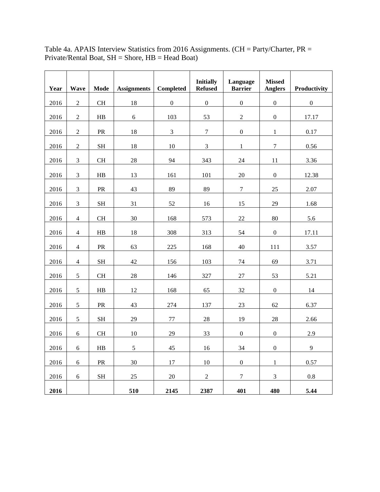| Year | Wave           | <b>Mode</b>         | <b>Assignments</b> | <b>Completed</b> | <b>Initially</b><br><b>Refused</b> | Language<br><b>Barrier</b> | <b>Missed</b><br><b>Anglers</b> | Productivity |
|------|----------------|---------------------|--------------------|------------------|------------------------------------|----------------------------|---------------------------------|--------------|
| 2016 | $\overline{2}$ | CH                  | 18                 | $\overline{0}$   | $\boldsymbol{0}$                   | $\boldsymbol{0}$           | $\boldsymbol{0}$                | $\mathbf{0}$ |
| 2016 | $\overline{2}$ | HB                  | 6                  | 103              | 53                                 | $\overline{2}$             | $\boldsymbol{0}$                | 17.17        |
| 2016 | $\sqrt{2}$     | ${\sf PR}$          | 18                 | $\overline{3}$   | $\boldsymbol{7}$                   | $\boldsymbol{0}$           | $\mathbf 1$                     | 0.17         |
| 2016 | $\overline{2}$ | $\operatorname{SH}$ | 18                 | 10               | $\overline{3}$                     | $\mathbf{1}$               | $\overline{7}$                  | 0.56         |
| 2016 | $\overline{3}$ | $\rm CH$            | 28                 | 94               | 343                                | 24                         | 11                              | 3.36         |
| 2016 | $\mathfrak{Z}$ | ${\rm HB}$          | 13                 | 161              | 101                                | $20\,$                     | $\boldsymbol{0}$                | 12.38        |
|      | $\overline{3}$ |                     | 43                 | 89               | 89                                 | $\overline{7}$             |                                 |              |
| 2016 |                | ${\rm PR}$          |                    |                  |                                    |                            | 25                              | 2.07         |
| 2016 | $\overline{3}$ | <b>SH</b>           | 31                 | 52               | 16                                 | 15                         | 29                              | 1.68         |
| 2016 | $\overline{4}$ | $\rm CH$            | 30                 | 168              | 573                                | $22\,$                     | 80                              | 5.6          |
| 2016 | $\overline{4}$ | ${\rm HB}$          | 18                 | 308              | 313                                | 54                         | $\boldsymbol{0}$                | 17.11        |
| 2016 | $\overline{4}$ | PR                  | 63                 | 225              | 168                                | 40                         | 111                             | 3.57         |
| 2016 | $\overline{4}$ | <b>SH</b>           | 42                 | 156              | 103                                | 74                         | 69                              | 3.71         |
| 2016 | $\sqrt{5}$     | <b>CH</b>           | $28\,$             | 146              | 327                                | 27                         | 53                              | 5.21         |
| 2016 | 5              | ${\rm HB}$          | 12                 | 168              | 65                                 | 32                         | $\boldsymbol{0}$                | 14           |
| 2016 | 5              | ${\rm PR}$          | 43                 | 274              | 137                                | 23                         | 62                              | 6.37         |
| 2016 | $\mathfrak s$  | <b>SH</b>           | 29                 | 77               | 28                                 | 19                         | 28                              | 2.66         |
| 2016 | $\sqrt{6}$     | <b>CH</b>           | 10                 | 29               | 33                                 | $\boldsymbol{0}$           | $\boldsymbol{0}$                | 2.9          |
| 2016 | $6\,$          | ${\rm HB}$          | 5                  | 45               | 16                                 | 34                         | $\boldsymbol{0}$                | 9            |
| 2016 | $6\,$          | ${\sf PR}$          | 30                 | 17               | $10\,$                             | $\boldsymbol{0}$           | $\mathbf{1}$                    | 0.57         |
| 2016 | 6              | <b>SH</b>           | 25                 | 20               | $\overline{c}$                     | $\overline{7}$             | $\mathfrak{Z}$                  | 0.8          |
| 2016 |                |                     | 510                | 2145             | 2387                               | 401                        | 480                             | 5.44         |

Table 4a. APAIS Interview Statistics from 2016 Assignments. (CH = Party/Charter, PR = Private/Rental Boat,  $SH =$  Shore,  $HB =$  Head Boat)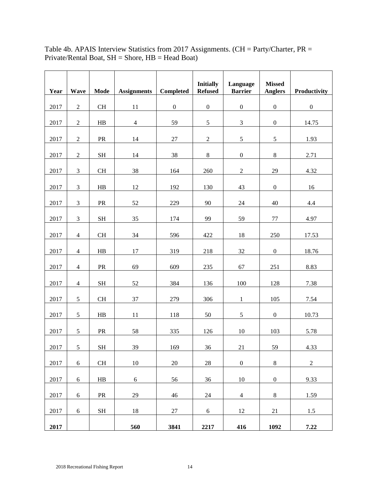| Year | <b>Wave</b>      | Mode                | <b>Assignments</b> | Completed        | <b>Initially</b><br><b>Refused</b> | Language<br><b>Barrier</b> | <b>Missed</b><br><b>Anglers</b> | Productivity     |
|------|------------------|---------------------|--------------------|------------------|------------------------------------|----------------------------|---------------------------------|------------------|
| 2017 | $\boldsymbol{2}$ | $\rm CH$            | 11                 | $\boldsymbol{0}$ | $\boldsymbol{0}$                   | $\boldsymbol{0}$           | $\boldsymbol{0}$                | $\boldsymbol{0}$ |
| 2017 | $\sqrt{2}$       | HB                  | $\overline{4}$     | 59               | $\sqrt{5}$                         | $\mathfrak{Z}$             | $\boldsymbol{0}$                | 14.75            |
| 2017 | $\sqrt{2}$       | PR                  | 14                 | $27\,$           | $\boldsymbol{2}$                   | $\sqrt{5}$                 | $\sqrt{5}$                      | 1.93             |
| 2017 | $\sqrt{2}$       | $\operatorname{SH}$ | 14                 | 38               | $\,8\,$                            | $\boldsymbol{0}$           | $\,8\,$                         | 2.71             |
| 2017 | $\mathfrak 3$    | CH                  | 38                 | 164              | 260                                | $\sqrt{2}$                 | 29                              | 4.32             |
| 2017 | $\mathfrak{Z}$   | $\rm HB$            | 12                 | 192              | 130                                | 43                         | $\boldsymbol{0}$                | $16$             |
| 2017 | $\mathfrak{Z}$   | PR                  | 52                 | 229              | 90                                 | $24\,$                     | 40                              | $4.4\,$          |
| 2017 | $\mathfrak{Z}$   | <b>SH</b>           | 35                 | 174              | 99                                 | 59                         | $77 \,$                         | 4.97             |
| 2017 | $\overline{4}$   | $\rm CH$            | 34                 | 596              | 422                                | 18                         | 250                             | 17.53            |
| 2017 | $\overline{4}$   | $\rm HB$            | 17                 | 319              | 218                                | 32                         | $\boldsymbol{0}$                | 18.76            |
| 2017 | $\overline{4}$   | PR                  | 69                 | 609              | 235                                | 67                         | 251                             | 8.83             |
| 2017 | $\overline{4}$   | $\operatorname{SH}$ | 52                 | 384              | 136                                | 100                        | 128                             | 7.38             |
| 2017 | 5                | $\rm CH$            | 37                 | 279              | 306                                | $\mathbf{1}$               | 105                             | 7.54             |
| 2017 | $\sqrt{5}$       | HB                  | 11                 | 118              | 50                                 | $\mathfrak s$              | $\boldsymbol{0}$                | 10.73            |
| 2017 | $\sqrt{5}$       | PR                  | 58                 | 335              | 126                                | 10                         | 103                             | 5.78             |
| 2017 | 5                | $\operatorname{SH}$ | 39                 | 169              | 36                                 | 21                         | 59                              | 4.33             |
| 2017 | $\boldsymbol{6}$ | $\operatorname{CH}$ | $10\,$             | $20\,$           | $28\,$                             | $\boldsymbol{0}$           | $\,8\,$                         | $\overline{2}$   |
| 2017 | $\boldsymbol{6}$ | ${\rm HB}$          | $\sqrt{6}$         | 56               | 36                                 | $10\,$                     | $\boldsymbol{0}$                | 9.33             |
| 2017 | 6                | ${\sf PR}$          | 29                 | $46\,$           | $24\,$                             | $\overline{4}$             | $\,8\,$                         | 1.59             |
| 2017 | $\boldsymbol{6}$ | $\operatorname{SH}$ | 18                 | $27\,$           | $6\,$                              | 12                         | 21                              | 1.5              |
| 2017 |                  |                     | 560                | 3841             | 2217                               | 416                        | 1092                            | 7.22             |

Table 4b. APAIS Interview Statistics from 2017 Assignments. (CH = Party/Charter,  $PR =$ Private/Rental Boat, SH = Shore, HB = Head Boat)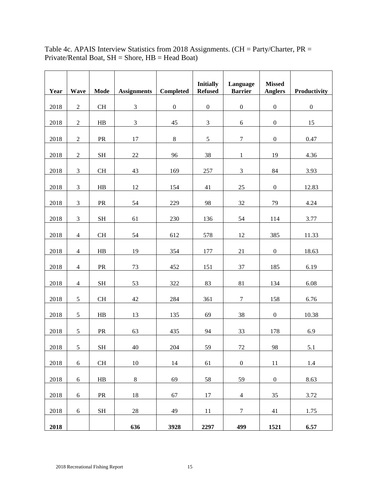| Year | <b>Wave</b>    | Mode                | <b>Assignments</b>          | Completed        | <b>Initially</b><br><b>Refused</b> | Language<br><b>Barrier</b> | <b>Missed</b>    | Productivity     |
|------|----------------|---------------------|-----------------------------|------------------|------------------------------------|----------------------------|------------------|------------------|
|      |                |                     |                             |                  |                                    |                            | <b>Anglers</b>   |                  |
| 2018 | $\overline{2}$ | $\rm CH$            | $\mathfrak{Z}$              | $\boldsymbol{0}$ | $\boldsymbol{0}$                   | $\boldsymbol{0}$           | $\boldsymbol{0}$ | $\boldsymbol{0}$ |
| 2018 | $\sqrt{2}$     | HB                  | $\ensuremath{\mathfrak{Z}}$ | 45               | $\ensuremath{\mathfrak{Z}}$        | $\sqrt{6}$                 | $\boldsymbol{0}$ | 15               |
| 2018 | $\sqrt{2}$     | PR                  | 17                          | $8\,$            | $\sqrt{5}$                         | $\boldsymbol{7}$           | $\boldsymbol{0}$ | 0.47             |
| 2018 | $\overline{2}$ | $\operatorname{SH}$ | 22                          | 96               | 38                                 | $\mathbf{1}$               | 19               | 4.36             |
| 2018 | $\mathfrak 3$  | $\rm CH$            | 43                          | 169              | 257                                | $\mathfrak{Z}$             | 84               | 3.93             |
| 2018 | $\mathfrak{Z}$ | H <sub>B</sub>      | 12                          | 154              | 41                                 | 25                         | $\boldsymbol{0}$ | 12.83            |
| 2018 | $\mathfrak{Z}$ | PR                  | 54                          | 229              | 98                                 | $32\,$                     | 79               | 4.24             |
| 2018 | $\mathfrak{Z}$ | $\operatorname{SH}$ | 61                          | 230              | 136                                | 54                         | 114              | 3.77             |
| 2018 | $\overline{4}$ | $\rm CH$            | 54                          | 612              | 578                                | 12                         | 385              | 11.33            |
| 2018 | $\overline{4}$ | $\rm HB$            | 19                          | 354              | 177                                | 21                         | $\boldsymbol{0}$ | 18.63            |
| 2018 | $\overline{4}$ | PR                  | 73                          | 452              | 151                                | 37                         | 185              | 6.19             |
| 2018 | $\overline{4}$ | $\operatorname{SH}$ | 53                          | 322              | 83                                 | 81                         | 134              | 6.08             |
| 2018 | $\sqrt{5}$     | <b>CH</b>           | 42                          | 284              | 361                                | $\boldsymbol{7}$           | 158              | 6.76             |
| 2018 | 5              | HB                  | 13                          | 135              | 69                                 | 38                         | $\boldsymbol{0}$ | 10.38            |
| 2018 | $\sqrt{5}$     | PR                  | 63                          | 435              | 94                                 | 33                         | 178              | 6.9              |
| 2018 | 5              | <b>SH</b>           | 40                          | 204              | 59                                 | 72                         | 98               | 5.1              |
| 2018 | 6              | $\rm CH$            | $10\,$                      | 14               | 61                                 | $\boldsymbol{0}$           | 11               | 1.4              |
| 2018 | 6              | HB                  | $\,8\,$                     | 69               | 58                                 | 59                         | $\boldsymbol{0}$ | 8.63             |
| 2018 | $\sqrt{6}$     | ${\sf PR}$          | 18                          | 67               | 17                                 | $\overline{4}$             | 35               | 3.72             |
| 2018 | 6              | $\operatorname{SH}$ | $28\,$                      | 49               | 11                                 | $\tau$                     | 41               | 1.75             |
| 2018 |                |                     | 636                         | 3928             | 2297                               | 499                        | 1521             | 6.57             |

Table 4c. APAIS Interview Statistics from 2018 Assignments. (CH = Party/Charter,  $PR =$ Private/Rental Boat, SH = Shore, HB = Head Boat)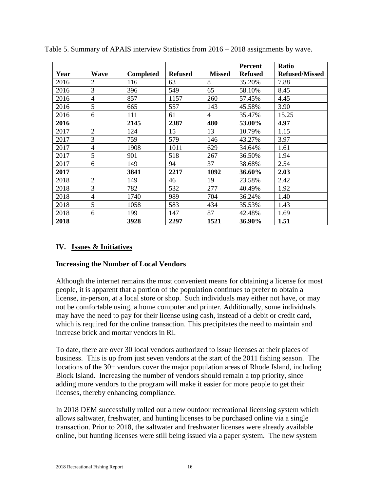|      |                |                  |                |               | <b>Percent</b> | <b>Ratio</b>          |
|------|----------------|------------------|----------------|---------------|----------------|-----------------------|
| Year | <b>Wave</b>    | <b>Completed</b> | <b>Refused</b> | <b>Missed</b> | <b>Refused</b> | <b>Refused/Missed</b> |
| 2016 | $\overline{2}$ | 116              | 63             | 8             | 35.20%         | 7.88                  |
| 2016 | 3              | 396              | 549            | 65            | 58.10%         | 8.45                  |
| 2016 | $\overline{4}$ | 857              | 1157           | 260           | 57.45%         | 4.45                  |
| 2016 | 5              | 665              | 557            | 143           | 45.58%         | 3.90                  |
| 2016 | 6              | 111              | 61             | 4             | 35.47%         | 15.25                 |
| 2016 |                | 2145             | 2387           | 480           | 53.00%         | 4.97                  |
| 2017 | $\overline{2}$ | 124              | 15             | 13            | 10.79%         | 1.15                  |
| 2017 | 3              | 759              | 579            | 146           | 43.27%         | 3.97                  |
| 2017 | $\overline{4}$ | 1908             | 1011           | 629           | 34.64%         | 1.61                  |
| 2017 | 5              | 901              | 518            | 267           | 36.50%         | 1.94                  |
| 2017 | 6              | 149              | 94             | 37            | 38.68%         | 2.54                  |
| 2017 |                | 3841             | 2217           | 1092          | 36.60%         | 2.03                  |
| 2018 | $\overline{2}$ | 149              | 46             | 19            | 23.58%         | 2.42                  |
| 2018 | $\overline{3}$ | 782              | 532            | 277           | 40.49%         | 1.92                  |
| 2018 | $\overline{4}$ | 1740             | 989            | 704           | 36.24%         | 1.40                  |
| 2018 | 5              | 1058             | 583            | 434           | 35.53%         | 1.43                  |
| 2018 | 6              | 199              | 147            | 87            | 42.48%         | 1.69                  |
| 2018 |                | 3928             | 2297           | 1521          | 36.90%         | 1.51                  |

Table 5. Summary of APAIS interview Statistics from 2016 – 2018 assignments by wave.

#### **IV. Issues & Initiatives**

#### **Increasing the Number of Local Vendors**

Although the internet remains the most convenient means for obtaining a license for most people, it is apparent that a portion of the population continues to prefer to obtain a license, in-person, at a local store or shop. Such individuals may either not have, or may not be comfortable using, a home computer and printer. Additionally, some individuals may have the need to pay for their license using cash, instead of a debit or credit card, which is required for the online transaction. This precipitates the need to maintain and increase brick and mortar vendors in RI.

To date, there are over 30 local vendors authorized to issue licenses at their places of business. This is up from just seven vendors at the start of the 2011 fishing season. The locations of the 30+ vendors cover the major population areas of Rhode Island, including Block Island. Increasing the number of vendors should remain a top priority, since adding more vendors to the program will make it easier for more people to get their licenses, thereby enhancing compliance.

In 2018 DEM successfully rolled out a new outdoor recreational licensing system which allows saltwater, freshwater, and hunting licenses to be purchased online via a single transaction. Prior to 2018, the saltwater and freshwater licenses were already available online, but hunting licenses were still being issued via a paper system. The new system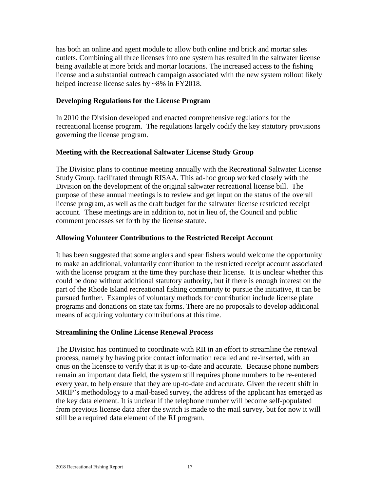has both an online and agent module to allow both online and brick and mortar sales outlets. Combining all three licenses into one system has resulted in the saltwater license being available at more brick and mortar locations. The increased access to the fishing license and a substantial outreach campaign associated with the new system rollout likely helped increase license sales by ~8% in FY2018.

#### **Developing Regulations for the License Program**

In 2010 the Division developed and enacted comprehensive regulations for the recreational license program. The regulations largely codify the key statutory provisions governing the license program.

#### **Meeting with the Recreational Saltwater License Study Group**

The Division plans to continue meeting annually with the Recreational Saltwater License Study Group, facilitated through RISAA. This ad-hoc group worked closely with the Division on the development of the original saltwater recreational license bill. The purpose of these annual meetings is to review and get input on the status of the overall license program, as well as the draft budget for the saltwater license restricted receipt account. These meetings are in addition to, not in lieu of, the Council and public comment processes set forth by the license statute.

#### **Allowing Volunteer Contributions to the Restricted Receipt Account**

It has been suggested that some anglers and spear fishers would welcome the opportunity to make an additional, voluntarily contribution to the restricted receipt account associated with the license program at the time they purchase their license. It is unclear whether this could be done without additional statutory authority, but if there is enough interest on the part of the Rhode Island recreational fishing community to pursue the initiative, it can be pursued further. Examples of voluntary methods for contribution include license plate programs and donations on state tax forms. There are no proposals to develop additional means of acquiring voluntary contributions at this time.

#### **Streamlining the Online License Renewal Process**

The Division has continued to coordinate with RII in an effort to streamline the renewal process, namely by having prior contact information recalled and re-inserted, with an onus on the licensee to verify that it is up-to-date and accurate. Because phone numbers remain an important data field, the system still requires phone numbers to be re-entered every year, to help ensure that they are up-to-date and accurate. Given the recent shift in MRIP's methodology to a mail-based survey, the address of the applicant has emerged as the key data element. It is unclear if the telephone number will become self-populated from previous license data after the switch is made to the mail survey, but for now it will still be a required data element of the RI program.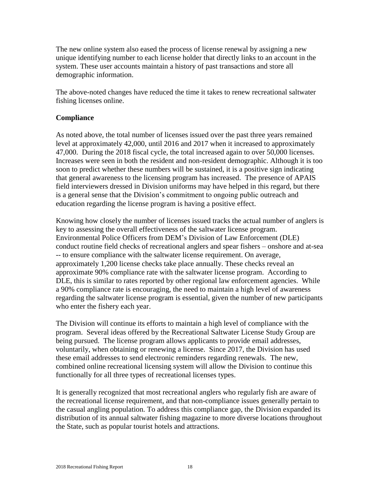The new online system also eased the process of license renewal by assigning a new unique identifying number to each license holder that directly links to an account in the system. These user accounts maintain a history of past transactions and store all demographic information.

The above-noted changes have reduced the time it takes to renew recreational saltwater fishing licenses online.

#### **Compliance**

As noted above, the total number of licenses issued over the past three years remained level at approximately 42,000, until 2016 and 2017 when it increased to approximately 47,000. During the 2018 fiscal cycle, the total increased again to over 50,000 licenses. Increases were seen in both the resident and non-resident demographic. Although it is too soon to predict whether these numbers will be sustained, it is a positive sign indicating that general awareness to the licensing program has increased. The presence of APAIS field interviewers dressed in Division uniforms may have helped in this regard, but there is a general sense that the Division's commitment to ongoing public outreach and education regarding the license program is having a positive effect.

Knowing how closely the number of licenses issued tracks the actual number of anglers is key to assessing the overall effectiveness of the saltwater license program. Environmental Police Officers from DEM's Division of Law Enforcement (DLE) conduct routine field checks of recreational anglers and spear fishers – onshore and at-sea -- to ensure compliance with the saltwater license requirement. On average, approximately 1,200 license checks take place annually. These checks reveal an approximate 90% compliance rate with the saltwater license program. According to DLE, this is similar to rates reported by other regional law enforcement agencies. While a 90% compliance rate is encouraging, the need to maintain a high level of awareness regarding the saltwater license program is essential, given the number of new participants who enter the fishery each year.

The Division will continue its efforts to maintain a high level of compliance with the program. Several ideas offered by the Recreational Saltwater License Study Group are being pursued. The license program allows applicants to provide email addresses, voluntarily, when obtaining or renewing a license. Since 2017, the Division has used these email addresses to send electronic reminders regarding renewals. The new, combined online recreational licensing system will allow the Division to continue this functionally for all three types of recreational licenses types.

It is generally recognized that most recreational anglers who regularly fish are aware of the recreational license requirement, and that non-compliance issues generally pertain to the casual angling population. To address this compliance gap, the Division expanded its distribution of its annual saltwater fishing magazine to more diverse locations throughout the State, such as popular tourist hotels and attractions.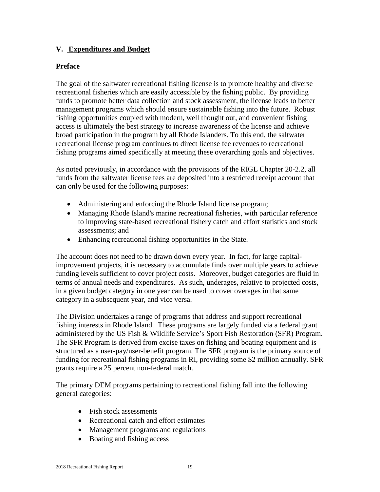#### **V. Expenditures and Budget**

#### **Preface**

The goal of the saltwater recreational fishing license is to promote healthy and diverse recreational fisheries which are easily accessible by the fishing public. By providing funds to promote better data collection and stock assessment, the license leads to better management programs which should ensure sustainable fishing into the future. Robust fishing opportunities coupled with modern, well thought out, and convenient fishing access is ultimately the best strategy to increase awareness of the license and achieve broad participation in the program by all Rhode Islanders. To this end, the saltwater recreational license program continues to direct license fee revenues to recreational fishing programs aimed specifically at meeting these overarching goals and objectives.

As noted previously, in accordance with the provisions of the RIGL Chapter 20-2.2, all funds from the saltwater license fees are deposited into a restricted receipt account that can only be used for the following purposes:

- Administering and enforcing the Rhode Island license program;
- Managing Rhode Island's marine recreational fisheries, with particular reference to improving state-based recreational fishery catch and effort statistics and stock assessments; and
- Enhancing recreational fishing opportunities in the State.

The account does not need to be drawn down every year. In fact, for large capitalimprovement projects, it is necessary to accumulate finds over multiple years to achieve funding levels sufficient to cover project costs. Moreover, budget categories are fluid in terms of annual needs and expenditures. As such, underages, relative to projected costs, in a given budget category in one year can be used to cover overages in that same category in a subsequent year, and vice versa.

The Division undertakes a range of programs that address and support recreational fishing interests in Rhode Island. These programs are largely funded via a federal grant administered by the US Fish & Wildlife Service's Sport Fish Restoration (SFR) Program. The SFR Program is derived from excise taxes on fishing and boating equipment and is structured as a user-pay/user-benefit program. The SFR program is the primary source of funding for recreational fishing programs in RI, providing some \$2 million annually. SFR grants require a 25 percent non-federal match.

The primary DEM programs pertaining to recreational fishing fall into the following general categories:

- Fish stock assessments
- Recreational catch and effort estimates
- Management programs and regulations
- Boating and fishing access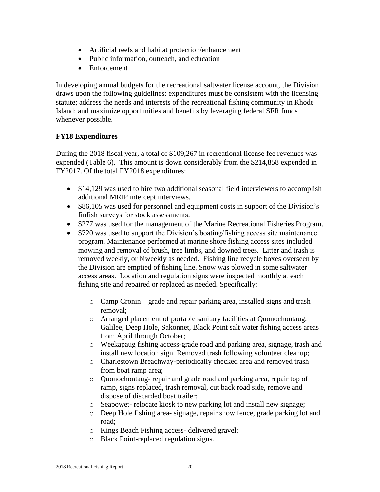- Artificial reefs and habitat protection/enhancement
- Public information, outreach, and education
- Enforcement

In developing annual budgets for the recreational saltwater license account, the Division draws upon the following guidelines: expenditures must be consistent with the licensing statute; address the needs and interests of the recreational fishing community in Rhode Island; and maximize opportunities and benefits by leveraging federal SFR funds whenever possible.

#### **FY18 Expenditures**

During the 2018 fiscal year, a total of \$109,267 in recreational license fee revenues was expended (Table 6). This amount is down considerably from the \$214,858 expended in FY2017. Of the total FY2018 expenditures:

- \$14,129 was used to hire two additional seasonal field interviewers to accomplish additional MRIP intercept interviews.
- \$86,105 was used for personnel and equipment costs in support of the Division's finfish surveys for stock assessments.
- \$277 was used for the management of the Marine Recreational Fisheries Program.
- \$720 was used to support the Division's boating/fishing access site maintenance program. Maintenance performed at marine shore fishing access sites included mowing and removal of brush, tree limbs, and downed trees. Litter and trash is removed weekly, or biweekly as needed. Fishing line recycle boxes overseen by the Division are emptied of fishing line. Snow was plowed in some saltwater access areas. Location and regulation signs were inspected monthly at each fishing site and repaired or replaced as needed. Specifically:
	- o Camp Cronin grade and repair parking area, installed signs and trash removal;
	- o Arranged placement of portable sanitary facilities at Quonochontaug, Galilee, Deep Hole, Sakonnet, Black Point salt water fishing access areas from April through October;
	- o Weekapaug fishing access-grade road and parking area, signage, trash and install new location sign. Removed trash following volunteer cleanup;
	- o Charlestown Breachway-periodically checked area and removed trash from boat ramp area;
	- o Quonochontaug- repair and grade road and parking area, repair top of ramp, signs replaced, trash removal, cut back road side, remove and dispose of discarded boat trailer;
	- o Seapowet- relocate kiosk to new parking lot and install new signage;
	- o Deep Hole fishing area- signage, repair snow fence, grade parking lot and road;
	- o Kings Beach Fishing access- delivered gravel;
	- o Black Point-replaced regulation signs.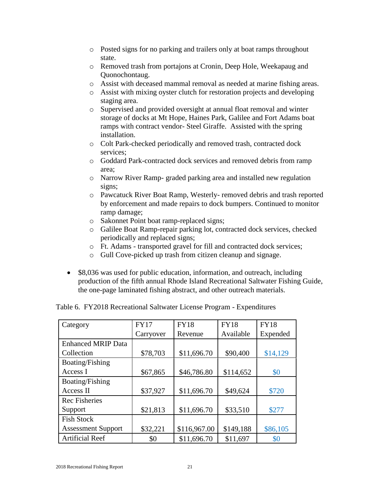- o Posted signs for no parking and trailers only at boat ramps throughout state.
- o Removed trash from portajons at Cronin, Deep Hole, Weekapaug and Quonochontaug.
- o Assist with deceased mammal removal as needed at marine fishing areas.
- o Assist with mixing oyster clutch for restoration projects and developing staging area.
- o Supervised and provided oversight at annual float removal and winter storage of docks at Mt Hope, Haines Park, Galilee and Fort Adams boat ramps with contract vendor- Steel Giraffe. Assisted with the spring installation.
- o Colt Park-checked periodically and removed trash, contracted dock services;
- o Goddard Park-contracted dock services and removed debris from ramp area;
- o Narrow River Ramp- graded parking area and installed new regulation signs;
- o Pawcatuck River Boat Ramp, Westerly- removed debris and trash reported by enforcement and made repairs to dock bumpers. Continued to monitor ramp damage;
- o Sakonnet Point boat ramp-replaced signs;
- o Galilee Boat Ramp-repair parking lot, contracted dock services, checked periodically and replaced signs;
- o Ft. Adams transported gravel for fill and contracted dock services;
- o Gull Cove-picked up trash from citizen cleanup and signage.
- \$8,036 was used for public education, information, and outreach, including production of the fifth annual Rhode Island Recreational Saltwater Fishing Guide, the one-page laminated fishing abstract, and other outreach materials.

| Category                  | <b>FY17</b> | <b>FY18</b>  | <b>FY18</b> | <b>FY18</b> |
|---------------------------|-------------|--------------|-------------|-------------|
|                           | Carryover   | Revenue      | Available   | Expended    |
| <b>Enhanced MRIP Data</b> |             |              |             |             |
| Collection                | \$78,703    | \$11,696.70  | \$90,400    | \$14,129    |
| Boating/Fishing           |             |              |             |             |
| Access I                  | \$67,865    | \$46,786.80  | \$114,652   | \$0         |
| Boating/Fishing           |             |              |             |             |
| Access II                 | \$37,927    | \$11,696.70  | \$49,624    | \$720       |
| <b>Rec Fisheries</b>      |             |              |             |             |
| Support                   | \$21,813    | \$11,696.70  | \$33,510    | \$277       |
| <b>Fish Stock</b>         |             |              |             |             |
| <b>Assessment Support</b> | \$32,221    | \$116,967.00 | \$149,188   | \$86,105    |
| <b>Artificial Reef</b>    | \$0         | \$11,696.70  | \$11,697    | \$0         |

Table 6. FY2018 Recreational Saltwater License Program - Expenditures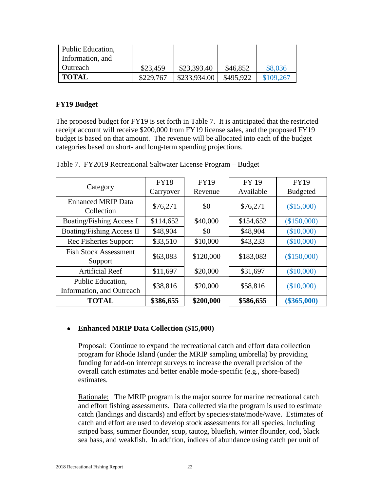| Public Education, |           |              |           |           |
|-------------------|-----------|--------------|-----------|-----------|
| Information, and  |           |              |           |           |
| l Outreach        | \$23,459  | \$23,393.40  | \$46,852  | \$8,036   |
| <b>TOTAL</b>      | \$229,767 | \$233,934.00 | \$495,922 | \$109,267 |

#### **FY19 Budget**

The proposed budget for FY19 is set forth in Table 7. It is anticipated that the restricted receipt account will receive \$200,000 from FY19 license sales, and the proposed FY19 budget is based on that amount. The revenue will be allocated into each of the budget categories based on short- and long-term spending projections.

| Category                                       | <b>FY18</b> | <b>FY19</b> | <b>FY 19</b> | <b>FY19</b>     |
|------------------------------------------------|-------------|-------------|--------------|-----------------|
|                                                | Carryover   | Revenue     | Available    | <b>Budgeted</b> |
| <b>Enhanced MRIP Data</b><br>Collection        | \$76,271    | \$0         | \$76,271     | (\$15,000)      |
| <b>Boating/Fishing Access I</b>                | \$114,652   | \$40,000    | \$154,652    | (\$150,000)     |
| <b>Boating/Fishing Access II</b>               | \$48,904    | \$0         | \$48,904     | (\$10,000)      |
| Rec Fisheries Support                          | \$33,510    | \$10,000    | \$43,233     | (\$10,000)      |
| <b>Fish Stock Assessment</b><br>Support        | \$63,083    | \$120,000   | \$183,083    | (\$150,000)     |
| <b>Artificial Reef</b>                         | \$11,697    | \$20,000    | \$31,697     | (\$10,000)      |
| Public Education,<br>Information, and Outreach | \$38,816    | \$20,000    | \$58,816     | (\$10,000)      |
| <b>TOTAL</b>                                   | \$386,655   | \$200,000   | \$586,655    | $(\$365,000)$   |

Table 7. FY2019 Recreational Saltwater License Program – Budget

#### • **Enhanced MRIP Data Collection (\$15,000)**

Proposal: Continue to expand the recreational catch and effort data collection program for Rhode Island (under the MRIP sampling umbrella) by providing funding for add-on intercept surveys to increase the overall precision of the overall catch estimates and better enable mode-specific (e.g., shore-based) estimates.

Rationale: The MRIP program is the major source for marine recreational catch and effort fishing assessments. Data collected via the program is used to estimate catch (landings and discards) and effort by species/state/mode/wave. Estimates of catch and effort are used to develop stock assessments for all species, including striped bass, summer flounder, scup, tautog, bluefish, winter flounder, cod, black sea bass, and weakfish. In addition, indices of abundance using catch per unit of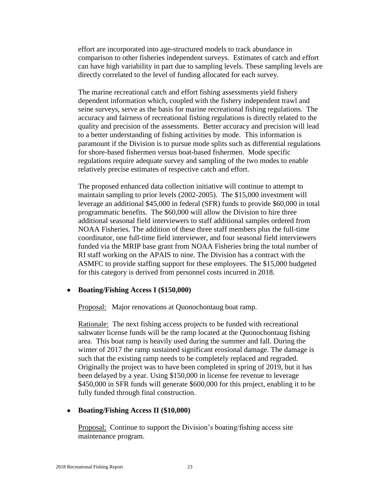effort are incorporated into age-structured models to track abundance in comparison to other fisheries independent surveys. Estimates of catch and effort can have high variability in part due to sampling levels. These sampling levels are directly correlated to the level of funding allocated for each survey.

The marine recreational catch and effort fishing assessments yield fishery dependent information which, coupled with the fishery independent trawl and seine surveys, serve as the basis for marine recreational fishing regulations. The accuracy and fairness of recreational fishing regulations is directly related to the quality and precision of the assessments. Better accuracy and precision will lead to a better understanding of fishing activities by mode. This information is paramount if the Division is to pursue mode splits such as differential regulations for shore-based fishermen versus boat-based fishermen. Mode specific regulations require adequate survey and sampling of the two modes to enable relatively precise estimates of respective catch and effort.

The proposed enhanced data collection initiative will continue to attempt to maintain sampling to prior levels (2002-2005). The \$15,000 investment will leverage an additional \$45,000 in federal (SFR) funds to provide \$60,000 in total programmatic benefits. The \$60,000 will allow the Division to hire three additional seasonal field interviewers to staff additional samples ordered from NOAA Fisheries. The addition of these three staff members plus the full-time coordinator, one full-time field interviewer, and four seasonal field interviewers funded via the MRIP base grant from NOAA Fisheries bring the total number of RI staff working on the APAIS to nine. The Division has a contract with the ASMFC to provide staffing support for these employees. The \$15,000 budgeted for this category is derived from personnel costs incurred in 2018.

#### • **Boating/Fishing Access I (\$150,000)**

Proposal: Major renovations at Quonochontaug boat ramp.

Rationale: The next fishing access projects to be funded with recreational saltwater license funds will be the ramp located at the Quonochontaug fishing area. This boat ramp is heavily used during the summer and fall. During the winter of 2017 the ramp sustained significant erosional damage. The damage is such that the existing ramp needs to be completely replaced and regraded. Originally the project was to have been completed in spring of 2019, but it has been delayed by a year. Using \$150,000 in license fee revenue to leverage \$450,000 in SFR funds will generate \$600,000 for this project, enabling it to be fully funded through final construction.

#### • **Boating/Fishing Access II (\$10,000)**

Proposal: Continue to support the Division's boating/fishing access site maintenance program.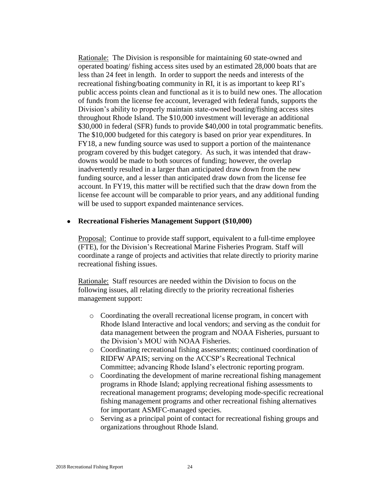Rationale: The Division is responsible for maintaining 60 state-owned and operated boating/ fishing access sites used by an estimated 28,000 boats that are less than 24 feet in length. In order to support the needs and interests of the recreational fishing/boating community in RI, it is as important to keep RI's public access points clean and functional as it is to build new ones. The allocation of funds from the license fee account, leveraged with federal funds, supports the Division's ability to properly maintain state-owned boating/fishing access sites throughout Rhode Island. The \$10,000 investment will leverage an additional \$30,000 in federal (SFR) funds to provide \$40,000 in total programmatic benefits. The \$10,000 budgeted for this category is based on prior year expenditures. In FY18, a new funding source was used to support a portion of the maintenance program covered by this budget category. As such, it was intended that drawdowns would be made to both sources of funding; however, the overlap inadvertently resulted in a larger than anticipated draw down from the new funding source, and a lesser than anticipated draw down from the license fee account. In FY19, this matter will be rectified such that the draw down from the license fee account will be comparable to prior years, and any additional funding will be used to support expanded maintenance services.

#### • **Recreational Fisheries Management Support (\$10,000)**

Proposal: Continue to provide staff support, equivalent to a full-time employee (FTE), for the Division's Recreational Marine Fisheries Program. Staff will coordinate a range of projects and activities that relate directly to priority marine recreational fishing issues.

Rationale: Staff resources are needed within the Division to focus on the following issues, all relating directly to the priority recreational fisheries management support:

- o Coordinating the overall recreational license program, in concert with Rhode Island Interactive and local vendors; and serving as the conduit for data management between the program and NOAA Fisheries, pursuant to the Division's MOU with NOAA Fisheries.
- o Coordinating recreational fishing assessments; continued coordination of RIDFW APAIS; serving on the ACCSP's Recreational Technical Committee; advancing Rhode Island's electronic reporting program.
- o Coordinating the development of marine recreational fishing management programs in Rhode Island; applying recreational fishing assessments to recreational management programs; developing mode-specific recreational fishing management programs and other recreational fishing alternatives for important ASMFC-managed species.
- o Serving as a principal point of contact for recreational fishing groups and organizations throughout Rhode Island.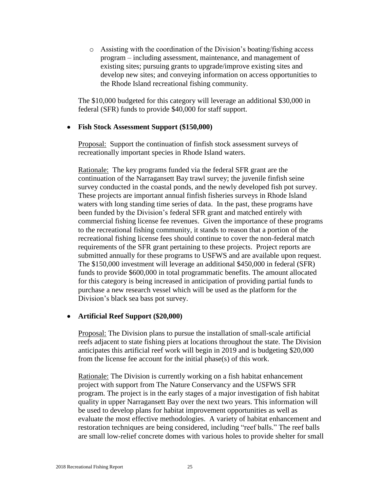o Assisting with the coordination of the Division's boating/fishing access program – including assessment, maintenance, and management of existing sites; pursuing grants to upgrade/improve existing sites and develop new sites; and conveying information on access opportunities to the Rhode Island recreational fishing community.

The \$10,000 budgeted for this category will leverage an additional \$30,000 in federal (SFR) funds to provide \$40,000 for staff support.

#### • **Fish Stock Assessment Support (\$150,000)**

Proposal:Support the continuation of finfish stock assessment surveys of recreationally important species in Rhode Island waters.

Rationale: The key programs funded via the federal SFR grant are the continuation of the Narragansett Bay trawl survey; the juvenile finfish seine survey conducted in the coastal ponds, and the newly developed fish pot survey. These projects are important annual finfish fisheries surveys in Rhode Island waters with long standing time series of data. In the past, these programs have been funded by the Division's federal SFR grant and matched entirely with commercial fishing license fee revenues. Given the importance of these programs to the recreational fishing community, it stands to reason that a portion of the recreational fishing license fees should continue to cover the non-federal match requirements of the SFR grant pertaining to these projects. Project reports are submitted annually for these programs to USFWS and are available upon request. The \$150,000 investment will leverage an additional \$450,000 in federal (SFR) funds to provide \$600,000 in total programmatic benefits. The amount allocated for this category is being increased in anticipation of providing partial funds to purchase a new research vessel which will be used as the platform for the Division's black sea bass pot survey.

#### • **Artificial Reef Support (\$20,000)**

Proposal: The Division plans to pursue the installation of small-scale artificial reefs adjacent to state fishing piers at locations throughout the state. The Division anticipates this artificial reef work will begin in 2019 and is budgeting \$20,000 from the license fee account for the initial phase(s) of this work.

Rationale: The Division is currently working on a fish habitat enhancement project with support from The Nature Conservancy and the USFWS SFR program. The project is in the early stages of a major investigation of fish habitat quality in upper Narragansett Bay over the next two years. This information will be used to develop plans for habitat improvement opportunities as well as evaluate the most effective methodologies. A variety of habitat enhancement and restoration techniques are being considered, including "reef balls." The reef balls are small low-relief concrete domes with various holes to provide shelter for small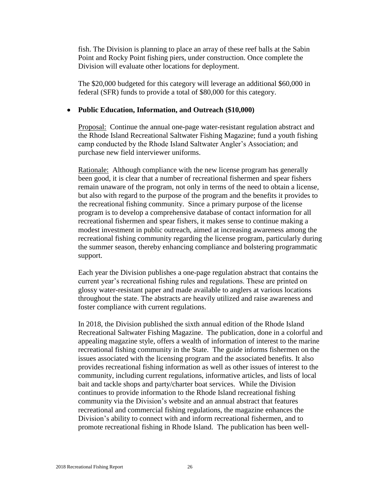fish. The Division is planning to place an array of these reef balls at the Sabin Point and Rocky Point fishing piers, under construction. Once complete the Division will evaluate other locations for deployment.

The \$20,000 budgeted for this category will leverage an additional \$60,000 in federal (SFR) funds to provide a total of \$80,000 for this category.

#### • **Public Education, Information, and Outreach (\$10,000)**

Proposal: Continue the annual one-page water-resistant regulation abstract and the Rhode Island Recreational Saltwater Fishing Magazine; fund a youth fishing camp conducted by the Rhode Island Saltwater Angler's Association; and purchase new field interviewer uniforms.

Rationale: Although compliance with the new license program has generally been good, it is clear that a number of recreational fishermen and spear fishers remain unaware of the program, not only in terms of the need to obtain a license, but also with regard to the purpose of the program and the benefits it provides to the recreational fishing community. Since a primary purpose of the license program is to develop a comprehensive database of contact information for all recreational fishermen and spear fishers, it makes sense to continue making a modest investment in public outreach, aimed at increasing awareness among the recreational fishing community regarding the license program, particularly during the summer season, thereby enhancing compliance and bolstering programmatic support.

Each year the Division publishes a one-page regulation abstract that contains the current year's recreational fishing rules and regulations. These are printed on glossy water-resistant paper and made available to anglers at various locations throughout the state. The abstracts are heavily utilized and raise awareness and foster compliance with current regulations.

In 2018, the Division published the sixth annual edition of the Rhode Island Recreational Saltwater Fishing Magazine. The publication, done in a colorful and appealing magazine style, offers a wealth of information of interest to the marine recreational fishing community in the State. The guide informs fishermen on the issues associated with the licensing program and the associated benefits. It also provides recreational fishing information as well as other issues of interest to the community, including current regulations, informative articles, and lists of local bait and tackle shops and party/charter boat services. While the Division continues to provide information to the Rhode Island recreational fishing community via the Division's website and an annual abstract that features recreational and commercial fishing regulations, the magazine enhances the Division's ability to connect with and inform recreational fishermen, and to promote recreational fishing in Rhode Island. The publication has been well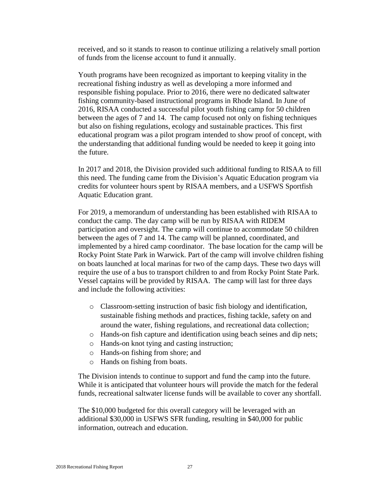received, and so it stands to reason to continue utilizing a relatively small portion of funds from the license account to fund it annually.

Youth programs have been recognized as important to keeping vitality in the recreational fishing industry as well as developing a more informed and responsible fishing populace. Prior to 2016, there were no dedicated saltwater fishing community-based instructional programs in Rhode Island. In June of 2016, RISAA conducted a successful pilot youth fishing camp for 50 children between the ages of 7 and 14. The camp focused not only on fishing techniques but also on fishing regulations, ecology and sustainable practices. This first educational program was a pilot program intended to show proof of concept, with the understanding that additional funding would be needed to keep it going into the future.

In 2017 and 2018, the Division provided such additional funding to RISAA to fill this need. The funding came from the Division's Aquatic Education program via credits for volunteer hours spent by RISAA members, and a USFWS Sportfish Aquatic Education grant.

For 2019, a memorandum of understanding has been established with RISAA to conduct the camp. The day camp will be run by RISAA with RIDEM participation and oversight. The camp will continue to accommodate 50 children between the ages of 7 and 14. The camp will be planned, coordinated, and implemented by a hired camp coordinator. The base location for the camp will be Rocky Point State Park in Warwick. Part of the camp will involve children fishing on boats launched at local marinas for two of the camp days. These two days will require the use of a bus to transport children to and from Rocky Point State Park. Vessel captains will be provided by RISAA. The camp will last for three days and include the following activities:

- o Classroom-setting instruction of basic fish biology and identification, sustainable fishing methods and practices, fishing tackle, safety on and around the water, fishing regulations, and recreational data collection;
- o Hands-on fish capture and identification using beach seines and dip nets;
- o Hands-on knot tying and casting instruction;
- o Hands-on fishing from shore; and
- o Hands on fishing from boats.

The Division intends to continue to support and fund the camp into the future. While it is anticipated that volunteer hours will provide the match for the federal funds, recreational saltwater license funds will be available to cover any shortfall.

The \$10,000 budgeted for this overall category will be leveraged with an additional \$30,000 in USFWS SFR funding, resulting in \$40,000 for public information, outreach and education.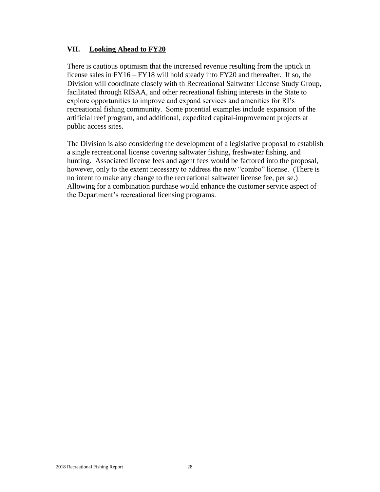#### **VII. Looking Ahead to FY20**

There is cautious optimism that the increased revenue resulting from the uptick in license sales in FY16 – FY18 will hold steady into FY20 and thereafter. If so, the Division will coordinate closely with th Recreational Saltwater License Study Group, facilitated through RISAA, and other recreational fishing interests in the State to explore opportunities to improve and expand services and amenities for RI's recreational fishing community. Some potential examples include expansion of the artificial reef program, and additional, expedited capital-improvement projects at public access sites.

The Division is also considering the development of a legislative proposal to establish a single recreational license covering saltwater fishing, freshwater fishing, and hunting. Associated license fees and agent fees would be factored into the proposal, however, only to the extent necessary to address the new "combo" license. (There is no intent to make any change to the recreational saltwater license fee, per se.) Allowing for a combination purchase would enhance the customer service aspect of the Department's recreational licensing programs.